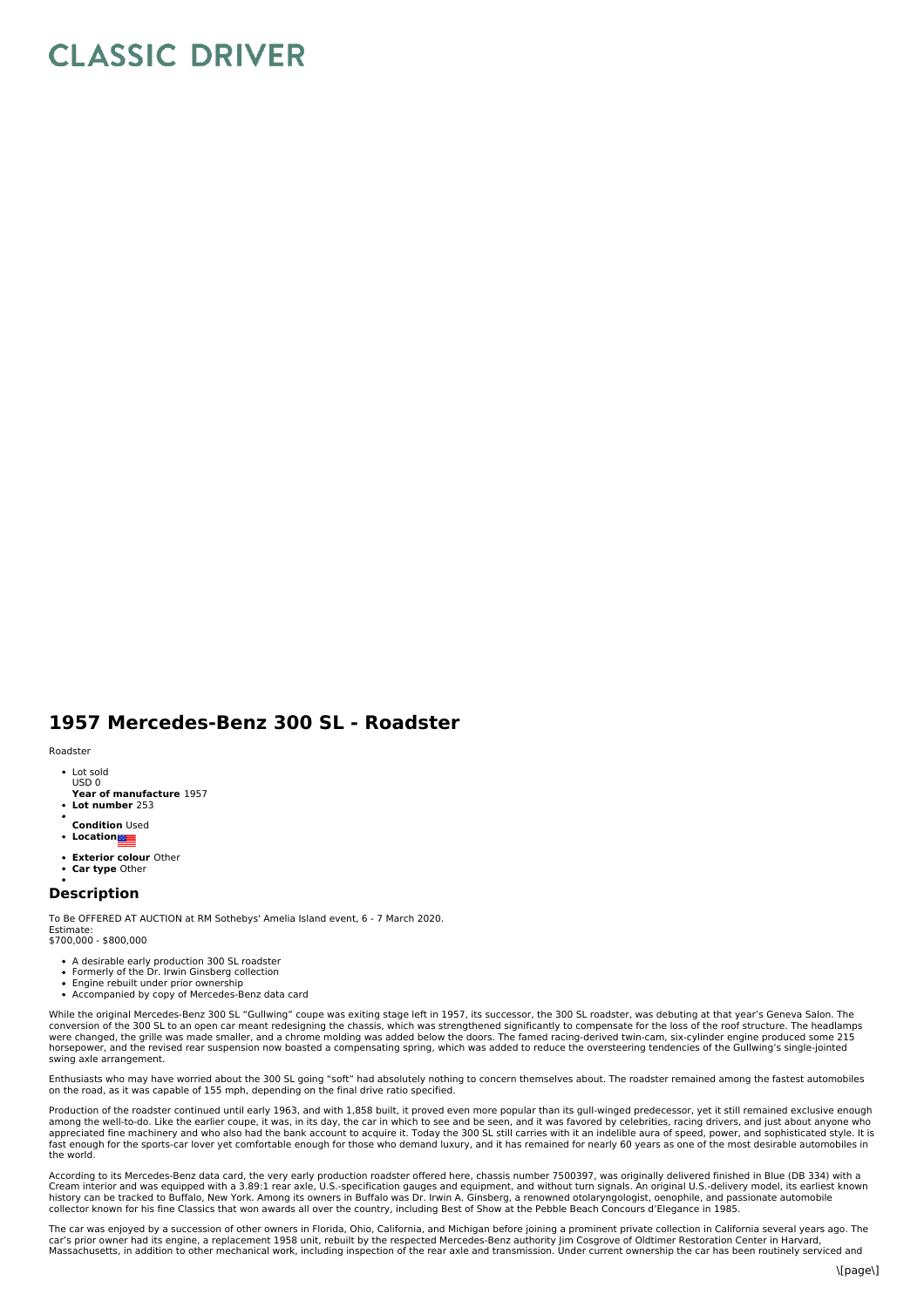## **CLASSIC DRIVER**

## **1957 Mercedes-Benz 300 SL - Roadster**

Roadster

- Lot sold USD 0
- **Year of manufacture** 1957
- **Lot number** 253
- **Condition** Used
- **Location**
- **Exterior colour** Other
- **Car type** Other

## **Description**

To Be OFFERED AT AUCTION at RM Sothebys' Amelia Island event, 6 - 7 March 2020. Estimate:

\$700,000 - \$800,000

- A desirable early production 300 SL roadster
- Formerly of the Dr. Irwin Ginsberg collection  $\ddot{\phantom{a}}$ Engine rebuilt under prior ownership
- Accompanied by copy of Mercedes-Benz data card

While the original Mercedes-Benz 300 SL "Gullwing" coupe was exiting stage left in 1957, its successor, the 300 SL roadster, was debuting at that year's Geneva Salon. The conversion of the 300 SL to an open car meant redesigning the chassis, which was strengthened significantly to compensate for the loss of the roof structure. The headlamps<br>were changed, the grille was made smaller, and a c horsepower, and the revised rear suspension now boasted a compensating spring, which was added to reduce the oversteering tendencies of the Gullwing's single-jointed swing axle arrangement.

Enthusiasts who may have worried about the 300 SL going "soft" had absolutely nothing to concern themselves about. The roadster remained among the fastest automobiles<br>on the road, as it was capable of 155 mph, depending on

Production of the roadster continued until early 1963, and with 1,858 built, it proved even more popular than its gull-winged predecessor, yet it still remained exclusive enough<br>among the well-to-do. Like the earlier coupe the world.

According to its Mercedes-Benz data card, the very early production roadster offered here, chassis number 7500397, was originally delivered finished in Blue (DB 334) with a<br>Cream interior and was equipped with a 3.89:1 rea

The car was enjoyed by a succession of other owners in Florida, Ohio, California, and Michigan before joining a prominent private collection in California several years ago. The car's prior owner had its engine, a replacement 1958 unit, rebuilt by the respected Mercedes-Benz authority Jim Cosgrove of Oldtimer Restoration Center in Harvard,<br>Massachusetts, in addition to other mechanical work, inclu